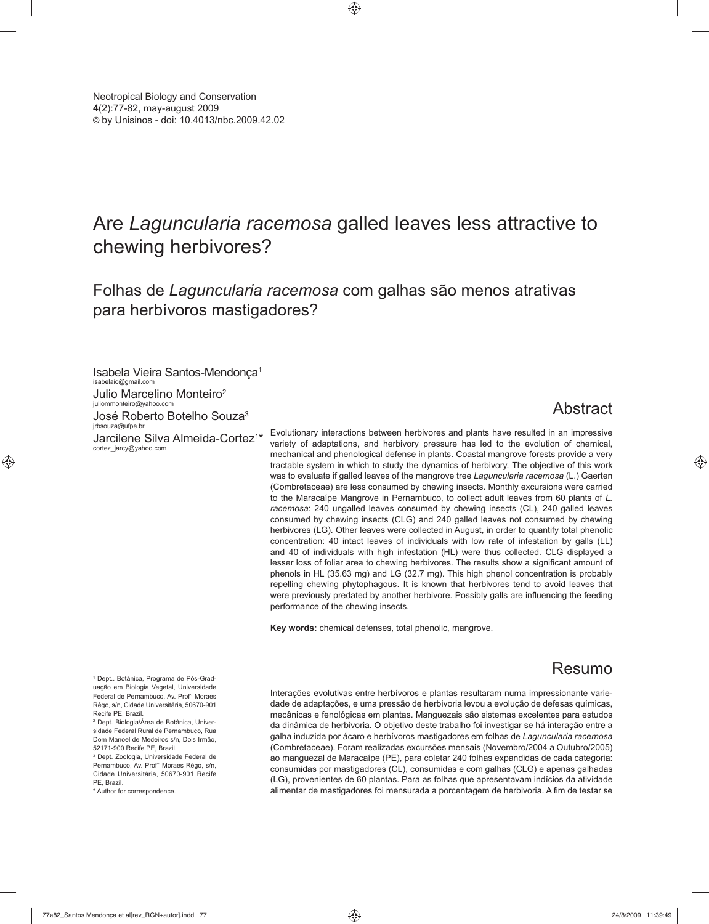# Are *Laguncularia racemosa* galled leaves less attractive to chewing herbivores?

Folhas de *Laguncularia racemosa* com galhas são menos atrativas para herbívoros mastigadores?

Isabela Vieira Santos-Mendonça1 isabelaic@gmail.com

Julio Marcelino Monteiro2

juliommonteiro@yahoo.com José Roberto Botelho Souza<sup>3</sup>

jrbsouza@ufpe.br Jarcilene Silva Almeida-Cortez<sup>1\*</sup> cortez\_jarcy@yahoo.com

## Abstract

Evolutionary interactions between herbivores and plants have resulted in an impressive variety of adaptations, and herbivory pressure has led to the evolution of chemical, mechanical and phenological defense in plants. Coastal mangrove forests provide a very tractable system in which to study the dynamics of herbivory. The objective of this work was to evaluate if galled leaves of the mangrove tree *Laguncularia racemosa* (L.) Gaerten (Combretaceae) are less consumed by chewing insects. Monthly excursions were carried to the Maracaípe Mangrove in Pernambuco, to collect adult leaves from 60 plants of *L. racemosa*: 240 ungalled leaves consumed by chewing insects (CL), 240 galled leaves consumed by chewing insects (CLG) and 240 galled leaves not consumed by chewing herbivores (LG). Other leaves were collected in August, in order to quantify total phenolic concentration: 40 intact leaves of individuals with low rate of infestation by galls (LL) and 40 of individuals with high infestation (HL) were thus collected. CLG displayed a lesser loss of foliar area to chewing herbivores. The results show a significant amount of phenols in HL (35.63 mg) and LG (32.7 mg). This high phenol concentration is probably repelling chewing phytophagous. It is known that herbivores tend to avoid leaves that were previously predated by another herbivore. Possibly galls are influencing the feeding performance of the chewing insects.

**Key words:** chemical defenses, total phenolic, mangrove.

### Resumo

Interações evolutivas entre herbívoros e plantas resultaram numa impressionante variedade de adaptações, e uma pressão de herbivoria levou a evolução de defesas químicas, mecânicas e fenológicas em plantas. Manguezais são sistemas excelentes para estudos da dinâmica de herbivoria. O objetivo deste trabalho foi investigar se há interação entre a galha induzida por ácaro e herbívoros mastigadores em folhas de *Laguncularia racemosa*  (Combretaceae). Foram realizadas excursões mensais (Novembro/2004 a Outubro/2005) ao manguezal de Maracaípe (PE), para coletar 240 folhas expandidas de cada categoria: consumidas por mastigadores (CL), consumidas e com galhas (CLG) e apenas galhadas (LG), provenientes de 60 plantas. Para as folhas que apresentavam indícios da atividade alimentar de mastigadores foi mensurada a porcentagem de herbivoria. A fim de testar se

1 Dept.. Botânica, Programa de Pós-Graduação em Biologia Vegetal, Universidade Federal de Pernambuco, Av. Prof° Moraes Rêgo, s/n, Cidade Universitária, 50670-901 Recife PE, Brazil.

2 Dept. Biologia/Área de Botânica, Universidade Federal Rural de Pernambuco, Rua Dom Manoel de Medeiros s/n, Dois Irmão, 52171-900 Recife PE, Brazil.

3 Dept. Zoologia, Universidade Federal de Pernambuco, Av. Prof° Moraes Rêgo, s/n, Cidade Universitária, 50670-901 Recife PF, Brazil.

\* Author for correspondence.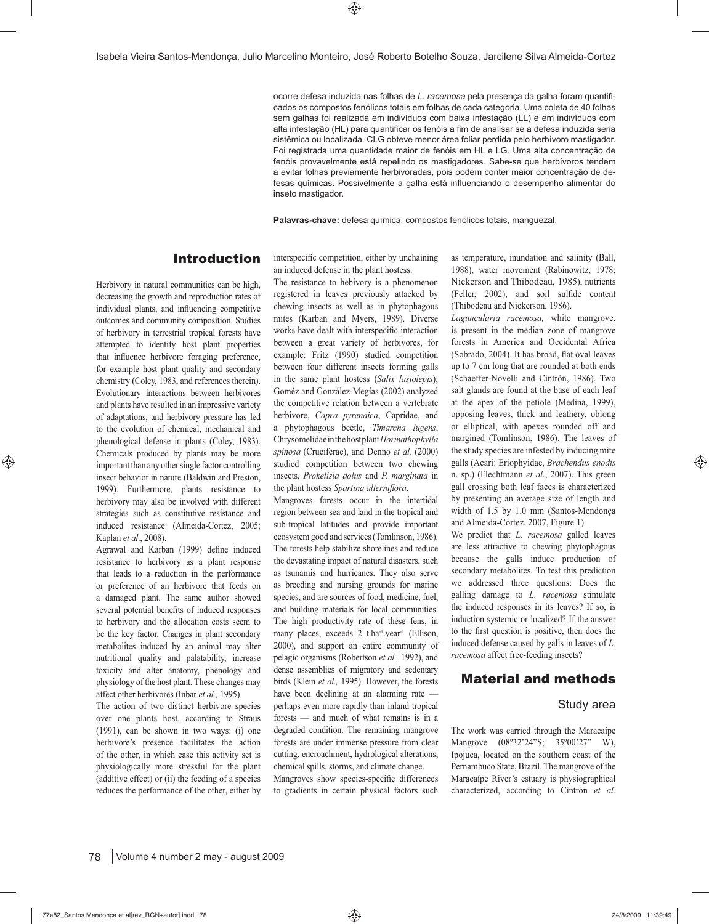ocorre defesa induzida nas folhas de *L. racemosa* pela presença da galha foram quantificados os compostos fenólicos totais em folhas de cada categoria. Uma coleta de 40 folhas sem galhas foi realizada em indivíduos com baixa infestação (LL) e em indivíduos com alta infestação (HL) para quantificar os fenóis a fim de analisar se a defesa induzida seria sistêmica ou localizada. CLG obteve menor área foliar perdida pelo herbívoro mastigador. Foi registrada uma quantidade maior de fenóis em HL e LG. Uma alta concentração de fenóis provavelmente está repelindo os mastigadores. Sabe-se que herbívoros tendem a evitar folhas previamente herbivoradas, pois podem conter maior concentração de defesas químicas. Possivelmente a galha está influenciando o desempenho alimentar do inseto mastigador.

**Palavras-chave:** defesa química, compostos fenólicos totais, manguezal.

#### Introduction

Herbivory in natural communities can be high, decreasing the growth and reproduction rates of individual plants, and influencing competitive outcomes and community composition. Studies of herbivory in terrestrial tropical forests have attempted to identify host plant properties that influence herbivore foraging preference, for example host plant quality and secondary chemistry (Coley, 1983, and references therein). Evolutionary interactions between herbivores and plants have resulted in an impressive variety of adaptations, and herbivory pressure has led to the evolution of chemical, mechanical and phenological defense in plants (Coley, 1983). Chemicals produced by plants may be more important than any other single factor controlling insect behavior in nature (Baldwin and Preston, 1999). Furthermore, plants resistance to herbivory may also be involved with different strategies such as constitutive resistance and induced resistance (Almeida-Cortez, 2005; Kaplan *et al*., 2008).

Agrawal and Karban (1999) define induced resistance to herbivory as a plant response that leads to a reduction in the performance or preference of an herbivore that feeds on a damaged plant. The same author showed several potential benefits of induced responses to herbivory and the allocation costs seem to be the key factor. Changes in plant secondary metabolites induced by an animal may alter nutritional quality and palatability, increase toxicity and alter anatomy, phenology and physiology of the host plant. These changes may affect other herbivores (Inbar *et al.,* 1995).

The action of two distinct herbivore species over one plants host, according to Straus (1991), can be shown in two ways: (i) one herbivore's presence facilitates the action of the other, in which case this activity set is physiologically more stressful for the plant (additive effect) or (ii) the feeding of a species reduces the performance of the other, either by

an induced defense in the plant hostess. The resistance to hebivory is a phenomenon registered in leaves previously attacked by

interspecific competition, either by unchaining

chewing insects as well as in phytophagous mites (Karban and Myers, 1989). Diverse works have dealt with interspecific interaction between a great variety of herbivores, for example: Fritz (1990) studied competition between four different insects forming galls in the same plant hostess (*Salix lasiolepis*); Goméz and González-Megías (2002) analyzed the competitive relation between a vertebrate herbivore, *Capra pyrenaica*, Capridae, and a phytophagous beetle, *Timarcha lugens*, Chrysomelidae in the host plant *Hormathophylla spinosa* (Cruciferae), and Denno *et al.* (2000) studied competition between two chewing insects, *Prokelisia dolus* and *P. marginata* in the plant hostess Spartina alterniflora.

Mangroves forests occur in the intertidal region between sea and land in the tropical and sub-tropical latitudes and provide important ecosystem good and services (Tomlinson, 1986). The forests help stabilize shorelines and reduce the devastating impact of natural disasters, such as tsunamis and hurricanes. They also serve as breeding and nursing grounds for marine species, and are sources of food, medicine, fuel, and building materials for local communities. The high productivity rate of these fens, in many places, exceeds 2 t.ha<sup>-1</sup>.year<sup>-1</sup> (Ellison, 2000), and support an entire community of pelagic organisms (Robertson *et al.,* 1992), and dense assemblies of migratory and sedentary birds (Klein *et al.,* 1995). However, the forests have been declining at an alarming rate perhaps even more rapidly than inland tropical forests — and much of what remains is in a degraded condition. The remaining mangrove forests are under immense pressure from clear cutting, encroachment, hydrological alterations, chemical spills, storms, and climate change. Mangroves show species-specific differences to gradients in certain physical factors such as temperature, inundation and salinity (Ball, 1988), water movement (Rabinowitz, 1978; Nickerson and Thibodeau, 1985), nutrients (Feller, 2002), and soil sulfide content (Thibodeau and Nickerson, 1986).

*Laguncularia racemosa,* white mangrove, is present in the median zone of mangrove forests in America and Occidental Africa (Sobrado, 2004). It has broad, flat oval leaves up to 7 cm long that are rounded at both ends (Schaeffer-Novelli and Cintrón, 1986). Two salt glands are found at the base of each leaf at the apex of the petiole (Medina, 1999), opposing leaves, thick and leathery, oblong or elliptical, with apexes rounded off and margined (Tomlinson, 1986). The leaves of the study species are infested by inducing mite galls (Acari: Eriophyidae, *Brachendus enodis*  n. sp.) (Flechtmann *et al*., 2007). This green gall crossing both leaf faces is characterized by presenting an average size of length and width of 1.5 by 1.0 mm (Santos-Mendonça and Almeida-Cortez, 2007, Figure 1).

We predict that *L. racemosa* galled leaves are less attractive to chewing phytophagous because the galls induce production of secondary metabolites. To test this prediction we addressed three questions: Does the galling damage to *L. racemosa* stimulate the induced responses in its leaves? If so, is induction systemic or localized? If the answer to the first question is positive, then does the induced defense caused by galls in leaves of *L. racemosa* affect free-feeding insects?

#### Material and methods

#### Study area

The work was carried through the Maracaípe Mangrove (08°32'24"S; 35°00'27" W), Ipojuca, located on the southern coast of the Pernambuco State, Brazil. The mangrove of the Maracaípe River's estuary is physiographical characterized, according to Cintrón *et al.*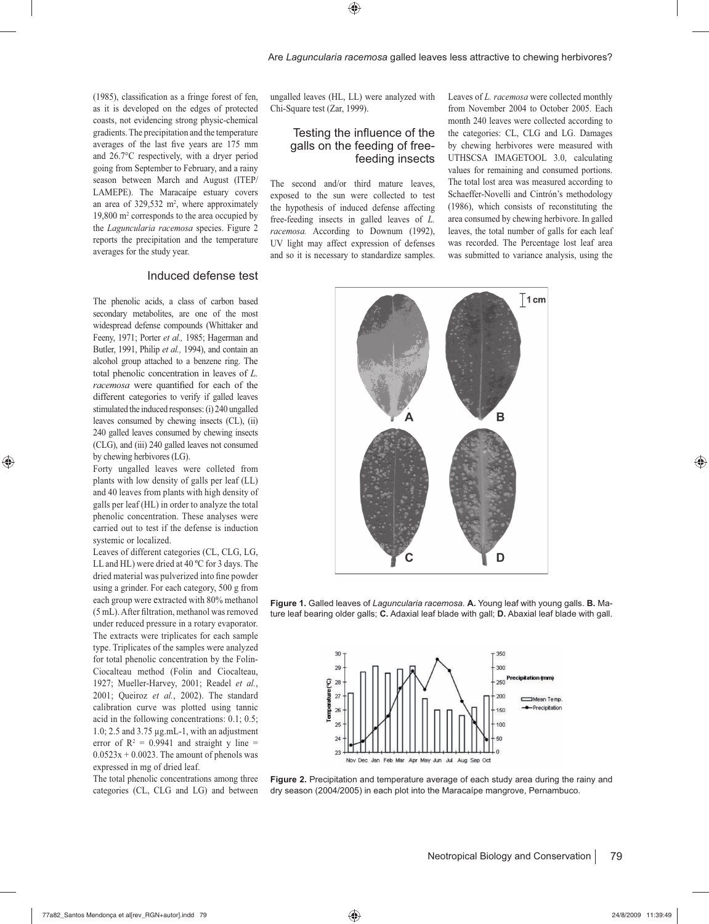$(1985)$ , classification as a fringe forest of fen, as it is developed on the edges of protected coasts, not evidencing strong physic-chemical gradients. The precipitation and the temperature averages of the last five years are 175 mm and 26.7°C respectively, with a dryer period going from September to February, and a rainy season between March and August (ITEP/ LAMEPE). The Maracaípe estuary covers an area of  $329,532 \text{ m}^2$ , where approximately 19,800 m2 corresponds to the area occupied by the *Laguncularia racemosa* species. Figure 2 reports the precipitation and the temperature averages for the study year.

#### Induced defense test

The phenolic acids, a class of carbon based secondary metabolites, are one of the most widespread defense compounds (Whittaker and Feeny, 1971; Porter *et al.,* 1985; Hagerman and Butler, 1991, Philip *et al.,* 1994), and contain an alcohol group attached to a benzene ring. The total phenolic concentration in leaves of *L. racemosa* were quantified for each of the different categories to verify if galled leaves stimulated the induced responses: (i) 240 ungalled leaves consumed by chewing insects (CL), (ii) 240 galled leaves consumed by chewing insects (CLG), and (iii) 240 galled leaves not consumed by chewing herbivores (LG).

Forty ungalled leaves were colleted from plants with low density of galls per leaf (LL) and 40 leaves from plants with high density of galls per leaf (HL) in order to analyze the total phenolic concentration. These analyses were carried out to test if the defense is induction systemic or localized.

Leaves of different categories (CL, CLG, LG, LL and HL) were dried at 40 ºC for 3 days. The dried material was pulverized into fine powder using a grinder. For each category, 500 g from each group were extracted with 80% methanol (5 mL). After filtration, methanol was removed under reduced pressure in a rotary evaporator. The extracts were triplicates for each sample type. Triplicates of the samples were analyzed for total phenolic concentration by the Folin-Ciocalteau method (Folin and Ciocalteau, 1927; Mueller-Harvey, 2001; Readel *et al.*, 2001; Queiroz *et al.*, 2002). The standard calibration curve was plotted using tannic acid in the following concentrations: 0.1; 0.5; 1.0; 2.5 and 3.75 μg.mL-1, with an adjustment error of  $R^2 = 0.9941$  and straight y line =  $0.0523x + 0.0023$ . The amount of phenols was expressed in mg of dried leaf.

The total phenolic concentrations among three categories (CL, CLG and LG) and between ungalled leaves (HL, LL) were analyzed with Chi-Square test (Zar, 1999).

#### Testing the influence of the galls on the feeding of freefeeding insects

The second and/or third mature leaves, exposed to the sun were collected to test the hypothesis of induced defense affecting free-feeding insects in galled leaves of *L. racemosa.* According to Downum (1992), UV light may affect expression of defenses and so it is necessary to standardize samples.

Leaves of *L. racemosa* were collected monthly from November 2004 to October 2005. Each month 240 leaves were collected according to the categories: CL, CLG and LG. Damages by chewing herbivores were measured with UTHSCSA IMAGETOOL 3.0, calculating values for remaining and consumed portions. The total lost area was measured according to Schaeffer-Novelli and Cintrón's methodology (1986), which consists of reconstituting the area consumed by chewing herbivore. In galled leaves, the total number of galls for each leaf was recorded. The Percentage lost leaf area was submitted to variance analysis, using the



**Figure 1.** Galled leaves of *Laguncularia racemosa.* **A.** Young leaf with young galls. **B.** Mature leaf bearing older galls; **C.** Adaxial leaf blade with gall; **D.** Abaxial leaf blade with gall.



**Figure 2.** Precipitation and temperature average of each study area during the rainy and dry season (2004/2005) in each plot into the Maracaípe mangrove, Pernambuco.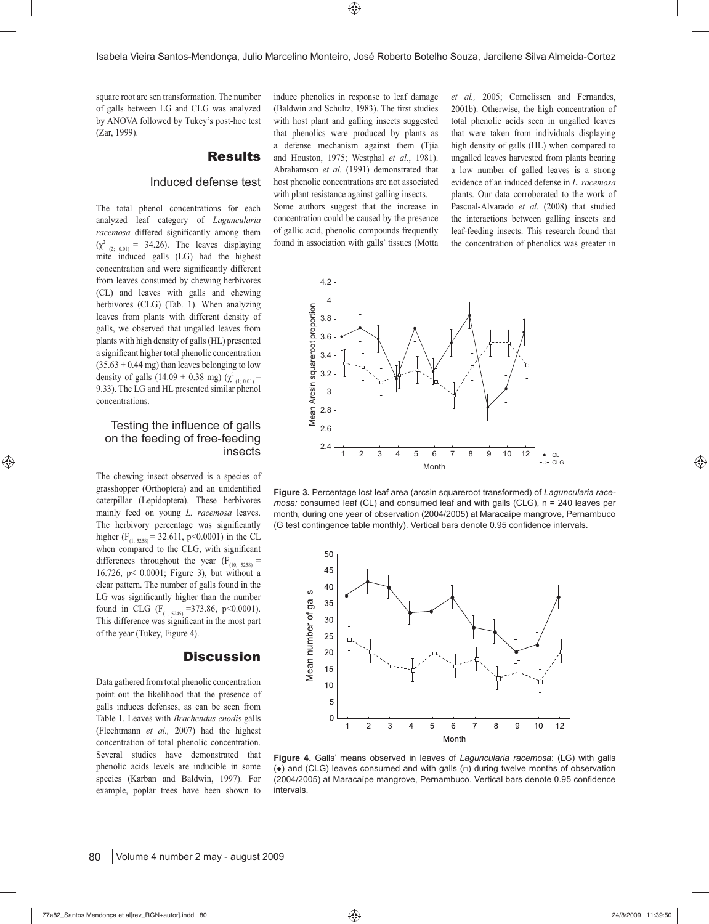square root arc sen transformation. The number of galls between LG and CLG was analyzed by ANOVA followed by Tukey's post-hoc test (Zar, 1999).

#### **Results**

#### Induced defense test

The total phenol concentrations for each analyzed leaf category of *Laguncularia racemosa* differed significantly among them  $(\chi^2_{(2; 0.01)} = 34.26)$ . The leaves displaying mite induced galls (LG) had the highest concentration and were significantly different from leaves consumed by chewing herbivores (CL) and leaves with galls and chewing herbivores (CLG) (Tab. 1). When analyzing leaves from plants with different density of galls, we observed that ungalled leaves from plants with high density of galls (HL) presented a significant higher total phenolic concentration  $(35.63 \pm 0.44 \text{ mg})$  than leaves belonging to low density of galls (14.09  $\pm$  0.38 mg) ( $\chi^2$ <sub>(1; 0.01)</sub> = 9.33). The LG and HL presented similar phenol concentrations.

#### Testing the influence of galls on the feeding of free-feeding insects

The chewing insect observed is a species of grasshopper (Orthoptera) and an unidentified caterpillar (Lepidoptera). These herbivores mainly feed on young *L. racemosa* leaves. The herbivory percentage was significantly higher (F<sub>(1, 5258)</sub> = 32.611, p<0.0001) in the CL when compared to the CLG, with significant differences throughout the year  $(F_{(10, 5258)}$  = 16.726, p< 0.0001; Figure 3), but without a clear pattern. The number of galls found in the LG was significantly higher than the number found in CLG (F<sub>(1, 5245)</sub> = 373.86, p<0.0001). This difference was significant in the most part of the year (Tukey, Figure 4).

#### **Discussion**

Data gathered from total phenolic concentration point out the likelihood that the presence of galls induces defenses, as can be seen from Table 1. Leaves with *Brachendus enodis* galls (Flechtmann *et al.,* 2007) had the highest concentration of total phenolic concentration. Several studies have demonstrated that phenolic acids levels are inducible in some species (Karban and Baldwin, 1997). For example, poplar trees have been shown to

induce phenolics in response to leaf damage (Baldwin and Schultz, 1983). The first studies with host plant and galling insects suggested that phenolics were produced by plants as a defense mechanism against them (Tjia and Houston, 1975; Westphal *et al*., 1981). Abrahamson *et al.* (1991) demonstrated that host phenolic concentrations are not associated with plant resistance against galling insects.

Some authors suggest that the increase in concentration could be caused by the presence of gallic acid, phenolic compounds frequently found in association with galls' tissues (Motta *et al.,* 2005; Cornelissen and Fernandes, 2001b). Otherwise, the high concentration of total phenolic acids seen in ungalled leaves that were taken from individuals displaying high density of galls (HL) when compared to ungalled leaves harvested from plants bearing a low number of galled leaves is a strong evidence of an induced defense in *L. racemosa* plants. Our data corroborated to the work of Pascual-Alvarado *et al*. (2008) that studied the interactions between galling insects and leaf-feeding insects. This research found that the concentration of phenolics was greater in



**Figure 3.** Percentage lost leaf area (arcsin squareroot transformed) of *Laguncularia racemosa:* consumed leaf (CL) and consumed leaf and with galls (CLG), n = 240 leaves per month, during one year of observation (2004/2005) at Maracaípe mangrove, Pernambuco (G test contingence table monthly). Vertical bars denote 0.95 confidence intervals.



**Figure 4.** Galls' means observed in leaves of *Laguncularia racemosa*: (LG) with galls (●) and (CLG) leaves consumed and with galls (□) during twelve months of observation (2004/2005) at Maracaípe mangrove, Pernambuco. Vertical bars denote 0.95 confidence intervals.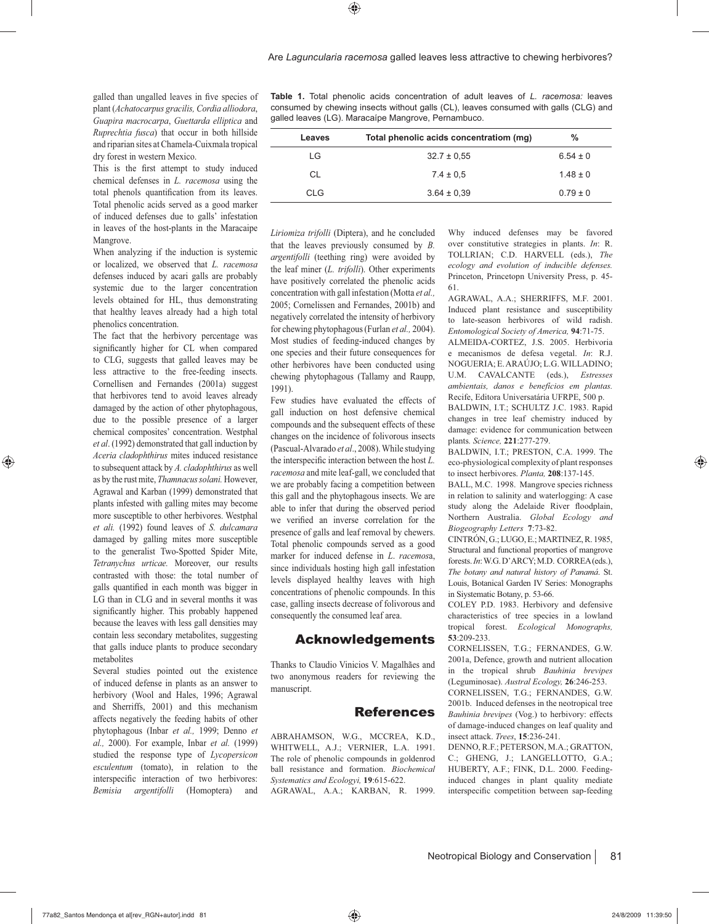galled than ungalled leaves in five species of plant (*Achatocarpus gracilis, Cordia alliodora*, *Guapira macrocarpa*, *Guettarda elliptica* and *Ruprechtia fusca*) that occur in both hillside and riparian sites at Chamela-Cuixmala tropical dry forest in western Mexico.

This is the first attempt to study induced chemical defenses in *L. racemosa* using the total phenols quantification from its leaves. Total phenolic acids served as a good marker of induced defenses due to galls' infestation in leaves of the host-plants in the Maracaipe Mangrove.

When analyzing if the induction is systemic or localized, we observed that *L. racemosa* defenses induced by acari galls are probably systemic due to the larger concentration levels obtained for HL, thus demonstrating that healthy leaves already had a high total phenolics concentration.

The fact that the herbivory percentage was significantly higher for CL when compared to CLG, suggests that galled leaves may be less attractive to the free-feeding insects. Cornellisen and Fernandes (2001a) suggest that herbivores tend to avoid leaves already damaged by the action of other phytophagous, due to the possible presence of a larger chemical composites' concentration. Westphal *et al*. (1992) demonstrated that gall induction by *Aceria cladophthirus* mites induced resistance to subsequent attack by *A. cladophthirus* as well as by the rust mite, *Thamnacus solani.* However, Agrawal and Karban (1999) demonstrated that plants infested with galling mites may become more susceptible to other herbivores. Westphal *et ali.* (1992) found leaves of *S. dulcamara* damaged by galling mites more susceptible to the generalist Two-Spotted Spider Mite, *Tetranychus urticae.* Moreover, our results contrasted with those: the total number of galls quantified in each month was bigger in LG than in CLG and in several months it was significantly higher. This probably happened because the leaves with less gall densities may contain less secondary metabolites, suggesting that galls induce plants to produce secondary metabolites

Several studies pointed out the existence of induced defense in plants as an answer to herbivory (Wool and Hales, 1996; Agrawal and Sherriffs, 2001) and this mechanism affects negatively the feeding habits of other phytophagous (Inbar *et al.,* 1999; Denno *et al.,* 2000). For example, Inbar *et al.* (1999) studied the response type of *Lycopersicon esculentum* (tomato), in relation to the interspecific interaction of two herbivores: *Bemisia argentifolli* (Homoptera) and

**Table 1.** Total phenolic acids concentration of adult leaves of *L. racemosa:* leaves consumed by chewing insects without galls (CL), leaves consumed with galls (CLG) and galled leaves (LG). Maracaípe Mangrove, Pernambuco.

| Leaves | Total phenolic acids concentratiom (mg) | %            |
|--------|-----------------------------------------|--------------|
| LG     | $32.7 \pm 0.55$                         | $6.54 \pm 0$ |
| CL     | $7.4 \pm 0.5$                           | $1.48 \pm 0$ |
| CLG.   | $3.64 \pm 0.39$                         | $0.79 \pm 0$ |

*Liriomiza trifolli* (Diptera), and he concluded that the leaves previously consumed by *B. argentifolli* (teething ring) were avoided by the leaf miner (*L. trifolli*). Other experiments have positively correlated the phenolic acids concentration with gall infestation (Motta *et al.,* 2005; Cornelissen and Fernandes, 2001b) and negatively correlated the intensity of herbivory for chewing phytophagous (Furlan *et al.,* 2004). Most studies of feeding-induced changes by one species and their future consequences for other herbivores have been conducted using chewing phytophagous (Tallamy and Raupp, 1991).

Few studies have evaluated the effects of gall induction on host defensive chemical compounds and the subsequent effects of these changes on the incidence of folivorous insects (Pascual-Alvarado *et al*., 2008). While studying the interspecific interaction between the host L. *racemosa* and mite leaf-gall, we concluded that we are probably facing a competition between this gall and the phytophagous insects. We are able to infer that during the observed period we verified an inverse correlation for the presence of galls and leaf removal by chewers. Total phenolic compounds served as a good marker for induced defense in *L*. *racemos*a, since individuals hosting high gall infestation levels displayed healthy leaves with high concentrations of phenolic compounds. In this case, galling insects decrease of folivorous and consequently the consumed leaf area.

#### Acknowledgements

Thanks to Claudio Vinicios V. Magalhães and two anonymous readers for reviewing the manuscript.

#### References

ABRAHAMSON, W.G., MCCREA, K.D., WHITWELL, A.J.; VERNIER, L.A. 1991. The role of phenolic compounds in goldenrod ball resistance and formation. *Biochemical Systematics and Ecologyi,* **19**:615-622. AGRAWAL, A.A.; KARBAN, R. 1999.

Why induced defenses may be favored over constitutive strategies in plants. *In*: R. TOLLRIAN; C.D. HARVELL (eds.), *The ecology and evolution of inducible defenses.*  Princeton, Princetopn University Press, p. 45- 61.

AGRAWAL, A.A.; SHERRIFFS, M.F. 2001. Induced plant resistance and susceptibility to late-season herbivores of wild radish. *Entomological Society of America,* **94**:71-75.

ALMEIDA-CORTEZ, J.S. 2005. Herbivoria e mecanismos de defesa vegetal. *In*: R.J. NOGUERIA; E. ARAÚJO; L.G. WILLADINO; U.M. CAVALCANTE (eds.), *Estresses ambientais, danos e benefícios em plantas.* Recife, Editora Universatária UFRPE, 500 p.

BALDWIN, I.T.; SCHULTZ J.C. 1983. Rapid changes in tree leaf chemistry induced by damage: evidence for communication between plants*. Science,* **221**:277-279.

BALDWIN, I.T.; PRESTON, C.A. 1999. The eco-physiological complexity of plant responses to insect herbivores. *Planta,* **208**:137-145.

BALL, M.C. 1998. Mangrove species richness in relation to salinity and waterlogging: A case study along the Adelaide River floodplain, Northern Australia. *Global Ecology and Biogeography Letters* **7**:73-82.

CINTRÓN, G.; LUGO, E.; MARTINEZ, R. 1985, Structural and functional proporties of mangrove forests. *In*: W.G. D'ARCY; M.D. CORREA (eds.), *The botany and natural history of Panamá*. St. Louis, Botanical Garden IV Series: Monographs in Siystematic Botany, p. 53-66.

COLEY P.D. 1983. Herbivory and defensive characteristics of tree species in a lowland tropical forest. *Ecological Monographs,* **53**:209-233.

CORNELISSEN, T.G.; FERNANDES, G.W. 2001a, Defence, growth and nutrient allocation in the tropical shrub *Bauhinia brevipes* (Leguminosae). *Austral Ecology,* **26**:246-253.

CORNELISSEN, T.G.; FERNANDES, G.W. 2001b. Induced defenses in the neotropical tree *Bauhinia brevipes* (Vog.) to herbivory: effects of damage-induced changes on leaf quality and insect attack. *Trees*, **15**:236-241.

DENNO, R.F.; PETERSON, M.A.; GRATTON, C.; GHENG, J.; LANGELLOTTO, G.A.; HUBERTY, A.F.; FINK, D.L. 2000. Feedinginduced changes in plant quality mediate interspecific competition between sap-feeding